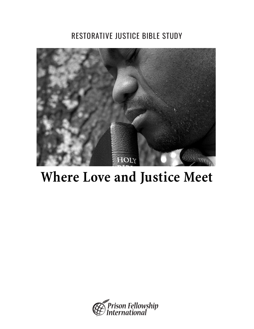## RESTORATIVE JUSTICE BIBLE STUDY



## **Where Love and Justice Meet**

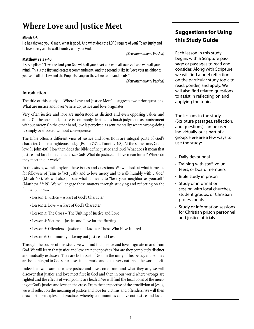## **Where Love and Justice Meet**

#### **Micah 6:8**

He has showed you, O man, what is good. And what does the LORD require of you? To act justly and to love mercy and to walk humbly with your God.

(New International Version)

#### **Matthew 22:37-40**

Jesus replied: " 'Love the Lord your God with all your heart and with all your soul and with all your mind.' This is the first and greatest commandment. And the second is like it: 'Love your neighbor as yourself.' All the Law and the Prophets hang on these two commandments."

(New International Version)

#### **Introduction**

The title of this study – "Where Love and Justice Meet" – suggests two prior questions. What are justice and love? Where do justice and love originate?

Very often justice and love are understood as distinct and even opposing values and aims. On the one hand, justice is commonly depicted as harsh judgment, as punishment without mercy. On the other hand, love is perceived as sentimentality where wrong-doing is simply overlooked without consequence.

The Bible offers a different view of justice and love. Both are integral parts of God's character. God is a righteous judge (Psalm 7:7; 2 Timothy 4:8). At the same time, God is love (1 John 4:8). How then does the Bible define justice and love? What does it mean that justice and love both characterize God? What do justice and love mean for us? Where do they meet in our world?

In this study, we will explore these issues and questions. We will look at what it means for followers of Jesus to "act justly and to love mercy and to walk humbly with...God" (Micah 6:8). We will also pursue what it means to "love your neighbor as yourself" (Matthew 22:39). We will engage these matters through studying and reflecting on the following topics.

- Lesson 1: Justice A Part of God's Character
- Lesson 2: Love A Part of God's Character
- Lesson 3: The Cross The Uniting of Justice and Love
- Lesson 4: Victims Justice and Love for the Hurting
- Lesson 5: Offenders Justice and Love for Those Who Have Injured
- Lesson 6: Community Living out Justice and Love

Through the course of this study we will find that justice and love originate in and from God.We will learn that justice and love are not opposites. Nor are they completely distinct and mutually exclusive. They are both part of God in the unity of his being, and so they are both integral to God's purposes in the world and to the very nature of the world itself.

Indeed, as we examine where justice and love come from and what they are, we will discover that justice and love meet first in God and then in our world where wrongs are righted and the effects of wrongdoing are healed.We will find the focal point of the meeting of God's justice and love on the cross. From the perspective of the crucifixion of Jesus, we will reflect on the meaning of justice and love for victims and offenders. We will then draw forth principles and practices whereby communities can live out justice and love.

#### **Suggestions for Using this Study Guide**

Each lesson in this study begins with a Scripture passage or passages to read and consider. Along with Scripture, we will find a brief reflection on the particular study topic to read, ponder, and apply. We will also find related questions to assist in reflecting on and applying the topic.

The lessons in the study (Scripture passages, reflection, and questions) can be used individually or as part of a group. Here are a few ways to use the study:

- Daily devotional
- Training with staff, volunteers, or board members
- Bible study in prison
- Study or information session with local churches, student groups, or Christian professionals
- Study or information sessions for Christian prison personnel and justice officials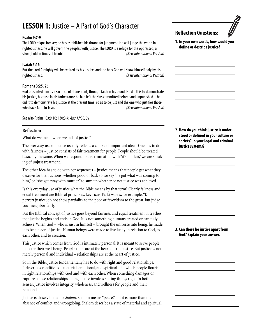## **LESSON 1:** Justice – A Part of God's Character

#### **Psalm 9:7-9**

The LORD reigns forever; he has established his throne for judgment. He will judge the world in righteousness; he will govern the peoples with justice. The LORD is a refuge for the oppressed, a stronghold in times of trouble. (New International Version)

#### **Isaiah 5:16**

But the Lord Almighty will be exalted by his justice, and the holy God will show himself holy by his righteousness. (New International Version)

#### **Romans 3:25, 26**

God presented him as a sacrifice of atonement, through faith in his blood. He did this to demonstrate his justice, because in his forbearance he had left the sins committed beforehand unpunished – he did it to demonstrate his justice at the present time, so as to be just and the one who justifies those who have faith in Jesus. The subset of the set of the set of the set of the set of the set of the set of the set of the set of the set of the set of the set of the set of the set of the set of the set of the set of the set

See also Psalm 103:9,10; 130:3,4; Acts 17:30, 31

#### **Reflection**

What do we mean when we talk of justice?

The everyday use of justice usually reflects a couple of important ideas. One has to do with fairness – justice consists of fair treatment for people. People should be treated basically the same. When we respond to discrimination with "it's not fair," we are speaking of unjust treatment.

The other idea has to do with consequences – justice means that people get what they deserve for their actions, whether good or bad. So we say "he got what was coming to him," or "she got away with murder," to sum up whether or not justice was achieved.

Is this everyday use of justice what the Bible means by that term? Clearly fairness and equal treatment are Biblical principles. Leviticus 19:15 warns, for example,"Do not pervert justice; do not show partiality to the poor or favoritism to the great, but judge your neighbor fairly."

But the Biblical concept of justice goes beyond fairness and equal treatment. It teaches that justice begins and ends in God. It is not something humans created or can fully achieve. When God – who is just in himself – brought the universe into being, he made it to be a place of justice. Human beings were made to live justly in relation to God, to each other, and to creation.

This justice which comes from God is intimately personal. It is meant to serve people, to foster their well-being. People, then, are at the heart of true justice. But justice is not merely personal and individual – relationships are at the heart of justice.

So in the Bible, justice fundamentally has to do with right and good relationships. It describes conditions – material, emotional, and spiritual – in which people flourish in right relationships with God and with each other. When something damages or ruptures those relationships, doing justice involves setting things right. In both senses, justice involves integrity, wholeness, and wellness for people and their relationships.

Justice is closely linked to *shalom*. Shalom means "peace," but it is more than the absence of conflict and wrongdoing. Shalom describes a state of material and spiritual

#### **Reflection Questions:**

**1. In your own words, how would you define or describe justice?**

**2. How do you think justice is understood or defined in your culture or society? In your legal and criminal justice systems?**

#### **3. Can there be justice apart from God? Explain your answer.**

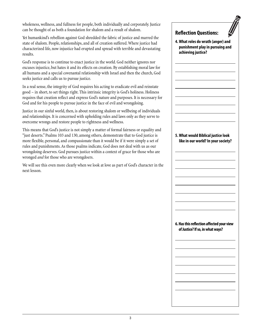wholeness, wellness, and fullness for people, both individually and corporately. Justice can be thought of as both a foundation for shalom and a result of shalom.

Yet humankind's rebellion against God shredded the fabric of justice and marred the state of shalom. People, relationships, and all of creation suffered. Where justice had characterized life, now injustice had erupted and spread with terrible and devastating results.

God's response is to continue to enact justice in the world. God neither ignores nor excuses injustice, but hates it and its effects on creation. By establishing moral law for all humans and a special covenantal relationship with Israel and then the church, God seeks justice and calls us to pursue justice.

In a real sense, the integrity of God requires his acting to eradicate evil and reinstate good – in short, to set things right. This intrinsic integrity is God's holiness. Holiness requires that creation reflect and express God's nature and purposes. It is necessary for God and for his people to pursue justice in the face of evil and wrongdoing.

Justice in our sinful world, then, is about restoring shalom or wellbeing of individuals and relationships. It is concerned with upholding rules and laws only as they serve to overcome wrongs and restore people to rightness and wellness.

This means that God's justice is not simply a matter of formal fairness or equality and "just deserts." Psalms 103 and 130, among others, demonstrate that to God justice is more flexible, personal, and compassionate than it would be if it were simply a set of rules and punishments. As those psalms indicate, God does not deal with us as our wrongdoing deserves. God pursues justice within a context of grace for those who are wronged *and* for those who are wrongdoers.

We will see this even more clearly when we look at love as part of God's character in the next lesson.

#### **Reflection Questions:**

**4. What roles do wrath (anger) and punishment play in pursuing and achieving justice?**

#### **5. What would Biblical justice look like in our world? In your society?**

**6. Has this reflection affected your view of Justice? If so, in what ways?**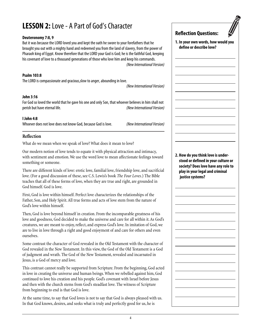## **LESSON 2:** Love - A Part of God's Character

#### **Deuteronomy 7:8, 9**

But it was because the LORD loved you and kept the oath he swore to your forefathers that he brought you out with a mighty hand and redeemed you from the land of slavery, from the power of Pharaoh king of Egypt. Know therefore that the LORD your God is God; he is the faithful God, keeping his covenant of love to a thousand generations of those who love him and keep his commands.

(New International Version)

#### **Psalm 103:8**

The LORD is compassionate and gracious,slow to anger, abounding in love.

(New International Version)

#### **John 3:16**

For God so loved the world that he gave his one and only Son, that whoever believes in him shall not perish but have eternal life. The state of the state of the state of the (New International Version)

#### **I John 4:8**

Whoever does not love does not know God, because God is love. (New International Version)

#### **Reflection**

What do we mean when we speak of love? What does it mean to love?

Our modern notion of love tends to equate it with physical attraction and intimacy, with sentiment and emotion. We use the word love to mean affectionate feelings toward something or someone.

There are different kinds of love: erotic love, familial love, friendship love, and sacrificial love. (For a good discussion of these, see C.S. Lewis's book *The Four Loves*.) The Bible teaches that all of these forms of love, when they are true and right, are grounded in God himself. God is love.

First, God is love within himself. Perfect love characterizes the relationships of the Father, Son, and Holy Spirit. All true forms and acts of love stem from the nature of God's love within himself.

Then, God is love beyond himself in creation. From the incomparable greatness of his love and goodness, God decided to make the universe and care for all within it. As God's creatures, we are meant to enjoy, reflect, and express God's love. In imitation of God, we are to live in love through a right and good enjoyment of and care for others and even ourselves.

Some contrast the character of God revealed in the Old Testament with the character of God revealed in the New Testament. In this view, the God of the Old Testament is a God of judgment and wrath. The God of the New Testament, revealed and incarnated in Jesus, is a God of mercy and love.

This contrast cannot really be supported from Scripture. From the beginning, God acted in love in creating the universe and human beings. When we rebelled against him, God continued to love his creation and his people. God's covenant with Israel before Jesus and then with the church stems from God's steadfast love. The witness of Scripture from beginning to end is that God is love.

At the same time, to say that God loves is not to say that God is always pleased with us. In that God knows, desires, and seeks what is truly and perfectly good for us, he is

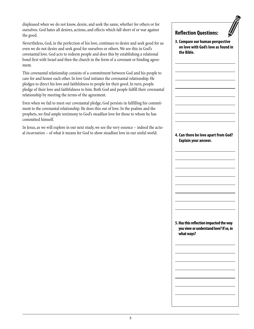displeased when we do not know, desire, and seek the same, whether for others or for ourselves. God hates all desires, actions, and effects which fall short of or war against the good.

Nevertheless, God, in the perfection of his love, continues to desire and seek good for us even we do not desire and seek good for ourselves or others. We see this in God's covenantal love. God acts to redeem people and does this by establishing a relational bond first with Israel and then the church in the form of a covenant or binding agreement.

This covenantal relationship consists of a commitment between God and his people to care for and honor each other. In love God initiates the covenantal relationship. He pledges to direct his love and faithfulness to people for their good. In turn, people pledge of their love and faithfulness to him. Both God and people fulfill their covenantal relationship by meeting the terms of the agreement.

Even when we fail to meet our covenantal pledge, God persists in fulfilling his commitment to the covenantal relationship. He does this out of love. In the psalms and the prophets, we find ample testimony to God's steadfast love for those to whom he has committed himself.

In Jesus, as we will explore in our next study, we see the very essence – indeed the actual *incarnation* – of what it means for God to show steadfast love in our sinful world.

#### **Reflection Questions:**

**3. Compare our human perspective on love with God's love as found in the Bible.**



**5. Has this reflection impacted the way you view or understand love? If so, in what ways?**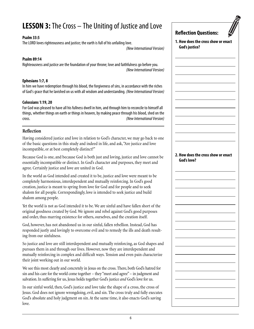## **LESSON 3:** The Cross – The Uniting of Justice and Love

#### **Psalm 33:5**

The LORD loves righteousness and justice; the earth is full of his unfailing love.

(New International Version)

#### **Psalm 89:14**

Righteousness and justice are the foundation of your throne; love and faithfulness go before you. (New International Version)

#### **Ephesians 1:7, 8**

In him we have redemption through his blood, the forgiveness of sins, in accordance with the riches of God's grace that he lavished on us with all wisdom and understanding. (New International Version)

#### **Colossians 1:19, 20**

For God was pleased to have all his fullness dwell in him, and through him to reconcile to himself all things, whether things on earth or things in heaven, by making peace through his blood, shed on the cross. (New International Version)

#### **Reflection**

Having considered justice and love in relation to God's character, we may go back to one of the basic questions in this study and indeed in life, and ask,"Are justice and love incompatible, or at best completely distinct?"

Because God is one, and because God is both just and loving, justice and love cannot be essentially incompatible or distinct. In God's character and purposes, they meet and agree. Certainly justice and love are united in God.

In the world as God intended and created it to be, justice and love were meant to be completely harmonious, interdependent and mutually reinforcing. In God's good creation, justice is meant to spring from love for God and for people and to seek shalom for all people. Correspondingly, love is intended to seek justice and build shalom among people.

Yet the world is not as God intended it to be. We are sinful and have fallen short of the original goodness created by God. We ignore and rebel against God's good purposes and order, thus marring existence for others, ourselves, and the creation itself.

God, however, has not abandoned us in our sinful, fallen rebellion. Instead, God has responded justly and lovingly to overcome evil and to remedy the ills and death resulting from our sinfulness.

So justice and love are still interdependent and mutually reinforcing, as God shapes and pursues them in and through our lives. However, now they are interdependent and mutually reinforcing in complex and difficult ways. Tension and even pain characterize their joint working out in our world.

We see this most clearly and concretely in Jesus on the cross. There, both God's hatred for sin and his care for the world come together – they "meet and agree" – in judgment and salvation. In suffering for us, Jesus holds together God's justice *and* God's love for us.

In our sinful world, then, God's justice and love take the shape of a cross, the cross of Jesus. God does not ignore wrongdoing, evil, and sin. The cross truly and fully executes God's absolute and holy judgment on sin. At the same time, it also enacts God's saving love.

**2. How does the cross show or enact**

**Reflection Questions:**

**God's justice?**

**1. How does the cross show or enact**

## **God's love?**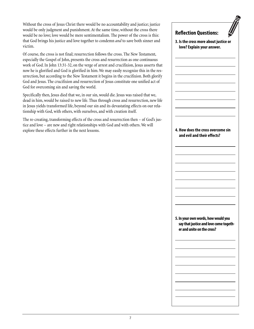Without the cross of Jesus Christ there would be no accountability and justice; justice would be only judgment and punishment. At the same time, without the cross there would be no love; love would be mere sentimentalism. The power of the cross is this: that God brings his justice and love together to condemn *and* to save both sinner and victim.

Of course, the cross is not final; resurrection follows the cross. The New Testament, especially the Gospel of John, presents the cross and resurrection as one continuous work of God. In John 13:31-32, on the verge of arrest and crucifixion, Jesus asserts that now he is glorified and God is glorified in him. We may easily recognize this in the resurrection, but according to the New Testament it begins in the crucifixion. Both glorify God and Jesus. The crucifixion and resurrection of Jesus constitute one unified act of God for overcoming sin and saving the world.

Specifically then, Jesus died that we, in our sin, would die. Jesus was raised that we, dead in him, would be raised to new life. Thus through cross and resurrection, new life in Jesus yields transformed life, beyond our sin and its devastating effects on our relationship with God, with others, with ourselves, and with creation itself.

The re-creating, transforming effects of the cross and resurrection then – of God's justice and love – are new and right relationships with God and with others. We will explore these effects further in the next lessons.

# **Reflection Questions: 3. Is the cross more about justice or love? Explain your answer. 4. How does the cross overcome sin and evil and their effects? 5. In your own words, how would you say that justice and love come together and unite on the cross?**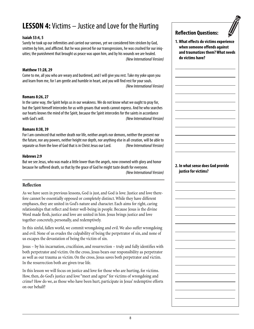## **LESSON 4:** Victims – Justice and Love for the Hurting

#### **Isaiah 53:4, 5**

Surely he took up our infirmities and carried our sorrows, yet we considered him stricken by God, smitten by him, and afflicted. But he was pierced for our transgressions, he was crushed for our iniquities; the punishment that brought us peace was upon him, and by his wounds we are healed. (New International Version)

#### **Matthew 11:28, 29**

Come to me, all you who are weary and burdened, and I will give you rest. Take my yoke upon you and learn from me, for I am gentle and humble in heart, and you will find rest for your souls. (New International Version)

#### **Romans 8:26, 27**

In the same way, the Spirit helps us in our weakness. We do not know what we ought to pray for, but the Spirit himself intercedes for us with groans that words cannot express. And he who searches our hearts knows the mind of the Spirit, because the Spirit intercedes for the saints in accordance with God's will. The contraction of the contraction of the contractional Version) with God's will.

#### **Romans 8:38, 39**

For I am convinced that neither death nor life, neither angels nor demons, neither the present nor the future, nor any powers, neither height nor depth, nor anything else in all creation, will be able to separate us from the love of God that is in Christ Jesus our Lord. (New International Version)

#### **Hebrews 2:9**

But we see Jesus, who was made a little lower than the angels, now crowned with glory and honor because he suffered death, so that by the grace of God he might taste death for everyone.

(New International Version)

#### **Reflection**

As we have seen in previous lessons, God is just, and God is love. Justice and love therefore cannot be essentially opposed or completely distinct. While they have different emphases, they are united in God's nature and character. Each aims for right, caring relationships that reflect and foster well-being in people. Because Jesus is the divine Word made flesh, justice and love are united in him. Jesus brings justice and love together concretely, personally, and redemptively.

In this sinful, fallen world, we commit wrongdoing and evil. We also suffer wrongdoing and evil. None of us evades the culpability of being the perpetrator of sin, and none of us escapes the devastation of being the victim of sin.

Jesus – by his incarnation, crucifixion, and resurrection – truly and fully identifies with both perpetrator and victim. On the cross, Jesus bears our responsibility as perpetrator as well as our trauma as victim. On the cross, Jesus saves both perpetrator and victim. In the resurrection both are given true life.

In this lesson we will focus on justice and love for those who are hurting, for victims. How, then, do God's justice and love "meet and agree" for victims of wrongdoing and crime? How do we, as those who have been hurt, participate in Jesus' redemptive efforts on our behalf?

#### **Reflection Questions:**

**1. What effects do victims experience when someone offends against and traumatizes them? What needs do victims have?**

#### **2. In what sense does God provide justice for victims?**

8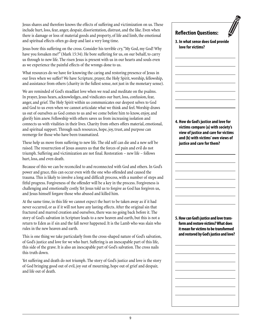Jesus shares and therefore knows the effects of suffering and victimization on us. These include hurt, loss, fear, anger, despair, disorientation, distrust, and the like. Even when there is damage or loss of material goods and property, of life and limb, the emotional and spiritual effects often go deep and last a very long time.

Jesus bore this suffering on the cross. Consider his terrible cry,"My God, my God! Why have you forsaken me?" (Mark 15:34). He bore suffering for us, on our behalf, to carry us through to new life. The risen Jesus is present with us in our hearts and souls even as we experience the painful effects of the wrongs done to us.

What resources do we have for knowing the caring and restoring presence of Jesus in our lives when we suffer? We have Scripture, prayer, the Holy Spirit, worship, fellowship, and assistance from others (charity in the fullest sense, not just in the monetary sense).

We are reminded of God's steadfast love when we read and meditate on the psalms. In prayer, Jesus hears, acknowledges, and vindicates our hurt, loss, confusion, fear, anger, and grief. The Holy Spirit within us communicates our deepest selves to God and God to us even when we cannot articulate what we think and feel. Worship draws us out of ourselves as God comes to us and we come before him to know, enjoy, and glorify him anew. Fellowship with others saves us from increasing isolation and connects us with vitalities in their lives. Charity from others offers material, emotional, and spiritual support. Through such resources, hope, joy, trust, and purpose can reemerge for those who have been traumatized.

These help us move from suffering to new life. The old self can die and a new self be raised. The resurrection of Jesus assures us that the forces of pain and evil do not triumph. Suffering and victimization are not final. Restoration – new life – follows hurt, loss, and even death.

Because of this we can be reconciled to and reconnected with God and others. In God's power and grace, this can occur even with the one who offended and caused the trauma. This is likely to involve a long and difficult process, with a number of steps and fitful progress. Forgiveness of the offender will be a key in the process. Forgiveness is challenging and emotionally costly. Yet Jesus told us to forgive as God has forgiven us, and Jesus himself forgave those who abused and killed him.

At the same time, in this life we cannot expect the hurt to be taken away as if it had never occurred, or as if it will not have any lasting effects. After the original sin that fractured and marred creation and ourselves, there was no going back before it. The story of God's salvation in Scripture leads to a new heaven and earth, but this is not a return to Eden as if sin and the fall never happened. It is the Lamb who was slain who rules in the new heaven and earth.

This is one thing we take particularly from the cross-shaped nature of God's salvation, of God's justice and love for we who hurt. Suffering is an inescapable part of this life, this side of the grave. It is also an inescapable part of God's salvation. The cross nails this truth down.

Yet suffering and death do not triumph. The story of God's justice and love is the story of God bringing good out of evil, joy out of mourning, hope out of grief and despair, and life out of death.

#### **Reflection Questions:**

**3. In what sense does God provide love for victims?**

**4. How do God's justice and love for victims compare (a) with society's view of justice and care for victims and (b) with victims' own views of justice and care for them?**

**5. How can God's justice and love transform and restore victims? What does it mean for victims to be transformed and restored by God's justice and love?**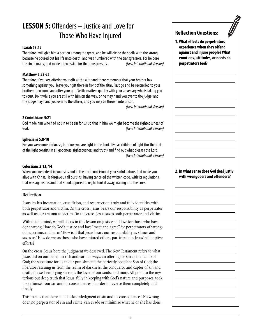## **LESSON 5:** Offenders – Justice and Love for Those Who Have Injured

#### **Isaiah 53:12**

Therefore I will give him a portion among the great, and he will divide the spoils with the strong, because he poured out his life unto death, and was numbered with the transgressors. For he bore the sin of many, and made intercession for the transgressors. (New International Version)

#### **Matthew 5:23-25**

Therefore, if you are offering your gift at the altar and there remember that your brother has something against you, leave your gift there in front of the altar. First go and be reconciled to your brother; then come and offer your gift. Settle matters quickly with your adversary who is taking you to court. Do it while you are still with him on the way, or he may hand you over to the judge, and the judge may hand you over to the officer, and you may be thrown into prison.

(New International Version)

#### **2 Corinthians 5:21**

God made him who had no sin to be sin for us, so that in him we might become the righteousness of God. (New International Version)

#### **Ephesians 5:8-10**

For you were once darkness, but now you are light in the Lord. Live as children of light (for the fruit of the light consists in all goodness, righteousness and truth) and find out what pleases the Lord. (New International Version)

#### **Colossians 2:13, 14**

When you were dead in your sins and in the uncircumcision of your sinful nature, God made you alive with Christ. He forgave us all our sins, having canceled the written code, with its regulations, that was against us and that stood opposed to us; he took it away, nailing it to the cross.

#### **Reflection**

Jesus, by his incarnation, crucifixion, and resurrection, truly and fully identifies with both perpetrator and victim. On the cross, Jesus bears our responsibility as perpetrator as well as our trauma as victim. On the cross, Jesus saves both perpetrator and victim.

With this in mind, we will focus in this lesson on justice and love for those who have done wrong. How do God's justice and love "meet and agree" for perpetrators of wrongdoing, crime, and harm? How is it that Jesus bears our responsibility as sinner and saves us? How do we, as those who have injured others, participate in Jesus' redemptive efforts?

On the cross, Jesus bore the judgment we deserved. The New Testament refers to what Jesus did on our behalf in rich and various ways: an offering for sin as the Lamb of God; the substitute for us in our punishment; the perfectly obedient Son of God; the liberator rescuing us from the realm of darkness; the conqueror and captor of sin and death; the self-emptying servant; the lover of our souls; and more. All point to the mysterious but deep truth that Jesus, fully in keeping with God's nature and purposes, took upon himself our sin and its consequences in order to reverse them completely and finally.

This means that there is full acknowledgment of sin and its consequences. No wrongdoer, no perpetrator of sin and crime, can evade or minimize what he or she has done.

#### **Reflection Questions:**

**1. What effects do perpetrators experience when they offend against and injure people? What emotions, attitudes, or needs do perpetrators feel?**

#### **2. In what sense does God deal justly with wrongdoers and offenders?**

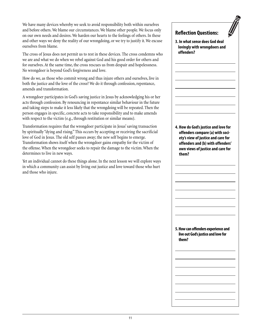We have many devices whereby we seek to avoid responsibility both within ourselves and before others. We blame our circumstances. We blame other people. We focus only on our own needs and desires. We harden our hearts to the feelings of others. In these and other ways we deny the reality of our wrongdoing, or we try to justify it. We excuse ourselves from blame.

The cross of Jesus does not permit us to rest in these devices. The cross condemns who we are and what we do when we rebel against God and his good order for others and for ourselves. At the same time, the cross rescues us from despair and hopelessness. No wrongdoer is beyond God's forgiveness and love.

How do we, as those who commit wrong and thus injure others and ourselves, live in both the justice and the love of the cross? We do it through confession, repentance, amends and transformation.

A wrongdoer participates in God's saving justice in Jesus by acknowledging his or her acts through confession. By renouncing in repentance similar behaviour in the future and taking steps to make it less likely that the wrongdoing will be repeated. Then the person engages in specific, concrete acts to take responsibility and to make amends with respect to the victim (e.g., through restitution or similar means).

Transformation requires that the wrongdoer participate in Jesus' saving transaction by spiritually "dying and rising." This occurs by accepting or receiving the sacrificial love of God in Jesus. The old self passes away; the new self begins to emerge. Transformation shows itself when the wrongdoer gains empathy for the victim of the offense. When the wrongdoer seeks to repair the damage to the victim. When the determines to live in new ways.

Yet an individual cannot do these things alone. In the next lesson we will explore ways in which a community can assist by living out justice and love toward those who hurt and those who injure.

#### **Reflection Questions:**

**3. In what sense does God deal lovingly with wrongdoers and offenders?**

**4. How do God's justice and love for offenders compare (a) with society's view of justice and care for offenders and (b) with offenders' own views of justice and care for them?**

**5. How can offenders experience and live out God's justice and love for them?**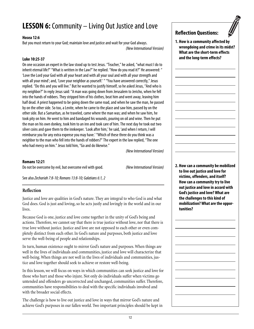## **LESSON 6:** Community – Living Out Justice and Love

#### **Hosea 12:6**

But you must return to your God; maintain love and justice and wait for your God always. (New International Version)

#### **Luke 10:25-37**

On one occasion an expert in the law stood up to test Jesus. "Teacher," he asked, "what must I do to inherit eternal life?" "What is written in the Law?" he replied. "How do you read it?" He answered: " 'Love the Lord your God with all your heart and with all your soul and with all your strength and with all your mind'; and, 'Love your neighbor as yourself.' " "You have answered correctly," Jesus replied. "Do this and you will live." But he wanted to justify himself, so he asked Jesus, "And who is my neighbor?" In reply Jesus said: "A man was going down from Jerusalem to Jericho, when he fell into the hands of robbers. They stripped him of his clothes, beat him and went away, leaving him half dead. A priest happened to be going down the same road, and when he saw the man, he passed by on the other side. So too, a Levite, when he came to the place and saw him, passed by on the other side. But a Samaritan, as he traveled, came where the man was; and when he saw him, he took pity on him. He went to him and bandaged his wounds, pouring on oil and wine. Then he put the man on his own donkey, took him to an inn and took care of him. The next day he took out two silver coins and gave them to the innkeeper. 'Look after him,' he said, 'and when I return, I will reimburse you for any extra expense you may have.' "Which of these three do you think was a neighbor to the man who fell into the hands of robbers?" The expert in the law replied, "The one who had mercy on him." Jesus told him, "Go and do likewise."

(New International Version)

#### **Romans 12:21**

Do not be overcome by evil, but overcome evil with good. (New International Version)

See also Zechariah 7:8-10; Romans 13:8-10; Galatians 6:1, 2

#### **Reflection**

Justice and love are qualities in God's nature. They are integral to who God is and what God does. God is just and loving, so he acts justly and lovingly in the world and in our lives.

Because God is one, justice and love come together in the unity of God's being and actions. Therefore, we cannot say that there is true justice without love, nor that there is true love without justice. Justice and love are not opposed to each other or even completely distinct from each other. In God's nature and purposes, both justice and love serve the well-being of people and relationships.

In turn, human existence ought to mirror God's nature and purposes. When things are well in the lives of individuals and communities, justice and love will characterize that well-being. When things are not well in the lives of individuals and communities, justice and love together should seek to achieve or restore well-being.

In this lesson, we will focus on ways in which communities can seek justice and love for those who hurt and those who injure. Not only do individuals suffer when victims go untended and offenders go uncorrected and unchanged, communities suffer. Therefore, communities have responsibilities to deal with the specific individuals involved and with the broader social effects.

The challenge is how to live out justice and love in ways that mirror God's nature and achieve God's purposes in our fallen world. Two important principles should be kept in



**1. How is a community affected by wrongdoing and crime in its midst? What are the short-term effects and the long-term effects?**

**2. How can a community be mobilized to live out justice and love for victims, offenders, and itself? How can a community try to live out justice and love in accord with God's justice and love? What are the challenges to this kind of mobilization? What are the opportunities?**

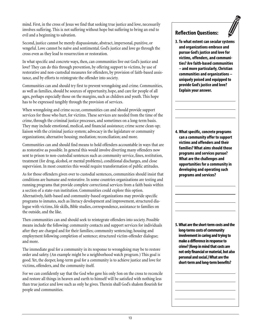mind. First, in the cross of Jesus we find that seeking true justice and love, necessarily involves suffering. This is not suffering without hope but suffering to bring an end to evil and a beginning to salvation.

Second, justice cannot be merely dispassionate, abstract, impersonal, punitive, or vengeful. Love cannot be naïve and sentimental. God's justice and love go through the cross even as they lead to resurrection or restoration.

In what specific and concrete ways, then, can communities live out God's justice and love? They can do this through prevention, by offering support to victims, by use of restorative and non-custodial measures for offenders, by provision of faith-based assistance, and by efforts to reintegrate the offender into society.

Communities can and should try first to prevent wrongdoing and crime. Communities, as well as families, should be sources of opportunity, hope, and care for people of all ages, perhaps especially those on the margins, such as children and youth. This hope has to be expressed tangibly through the provision of services.

When wrongdoing and crime occur, communities can and should provide support services for those who hurt, for victims. These services are needed from the time of the crime, through the criminal justice processes, and sometimes on a long-term basis. They may include emotional, medical, and financial assistance; crime scene clean-up; liaison with the criminal justice system; advocacy in the legislature or community organizations; alternative housing; mediation; reconciliation; and more.

Communities can and should find means to hold offenders accountable in ways that are as restorative as possible. In general this would involve diverting many offenders now sent to prison to non-custodial sentences such as community service, fines, restitution, treatment (for drug, alcohol, or mental problems), conditional discharges, and close supervision. In most countries this would require transformation of public attitudes.

As for those offenders given over to custodial sentences, communities should insist that conditions are humane and restorative. In some countries organizations are testing and running programs that provide complete correctional services from a faith basis within a section of a state-run institution. Communities could explore this option. Alternatively, faith-based and community-based organizations may provide specific programs to inmates, such as literacy development and improvement, structured dialogue with victims, life skills, Bible studies, correspondence, assistance to families on the outside, and the like.

Then communities can and should seek to reintegrate offenders into society. Possible means include the following: community contacts and support services for individuals after they are charged and for their families; community sentencing; housing and employment following completion of sentence; structured victim-offender dialogue; and more.

The immediate goal for a community in its response to wrongdoing may be to restore order and safety. (An example might be a neighborhood watch program.) This goal is good. Yet, the deeper, long-term goal for a community is to achieve justice and love for victims, offenders, and the community itself.

For we can confidently say that the God who gave his only Son on the cross to reconcile and restore all things in heaven and earth to himself will be satisfied with nothing less than true justice and love such as only he gives. Therein shall God's shalom flourish for people and communities.

#### **Reflection Questions:**

**3. To what extent can secular systems and organizations embrace and pursue God's justice and love for victims, offenders, and communities? Are faith-based communities – and more particularly, Christian communities and organizations – uniquely poised and equipped to provide God's justice and love? Explain your answer.**

**4. What specific, concrete programs can a community offer to support victims and offenders and their families? What aims should those programs and services pursue? What are the challenges and opportunities for a community in developing and operating such programs and services?**

**5. What are the short-term costs and the long-terms costs of community involvement in caring and trying to make a difference in response to crime? (Keep in mind that costs are not only financial or material, but also personal and social.) What are the short-term and long-term benefits?**